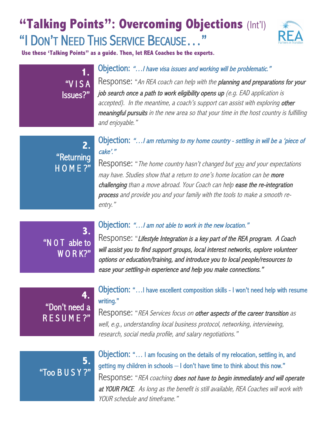# **"Talking Points": Overcoming Objections** (Int'l) "I DON'T NEED THIS SERVICE BECAUSE…"



**Use these 'Talking Points" as a guide. Then, let REA Coaches be the experts.** 

#### Objection: "…I have visa issues and working will be problematic."

Response: "An REA coach can help with the planning and preparations for your job search once a path to work eligibility opens up (e.g. EAD application is accepted). In the meantime, a coach's support can assist with exploring other meaningful pursuits in the new area so that your time in the host country is fulfilling and enjoyable."

## **2.**  "Returning H O M E ?"

**1.**

"V I S A

Issues?"

Objection: "…I am returning to my home country - settling in will be a 'piece of cake'."

Response: "The home country hasn't changed but you and your expectations may have. Studies show that a return to one's home location can be more challenging than a move abroad. Your Coach can help ease the re-integration process and provide you and your family with the tools to make a smooth reentry."

**3.**  "N 0 T able to W O R K?"

#### Objection: "…I am not able to work in the new location."

Response: "Lifestyle Integration is a key part of the REA program. A Coach will assist you to find support groups, local interest networks, explore volunteer options or education/training, and introduce you to local people/resources to ease your settling-in experience and help you make connections."

## **4.** "Don't need a R E S U M E ?"

### Objection: "…I have excellent composition skills - I won't need help with resume writing."

Response: "REA Services focus on other aspects of the career transition as well, e.g., understanding local business protocol, networking, interviewing, research, social media profile, and salary negotiations."

## **5.**  "Too B U S Y ?"

Objection: "… I am focusing on the details of my relocation, settling in, and getting my children in schools – I don't have time to think about this now." Response: "REA coaching does not have to begin immediately and will operate at YOUR PACE. As long as the benefit is still available, REA Coaches will work with YOUR schedule and timeframe."